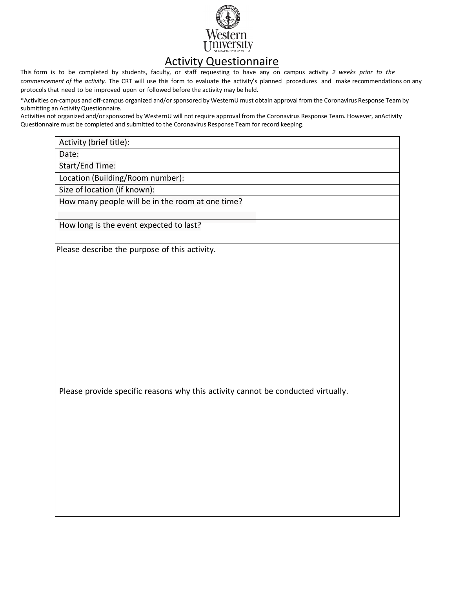

## **Activity Questionnaire**

This form is to be completed by students, faculty, or staff requesting to have any on campus activity *2 weeks prior to the commencement of the activity*. The CRT will use this form to evaluate the activity's planned procedures and make recommendations on any protocols that need to be improved upon or followed before the activity may be held.

\*Activities on-campus and off-campus organized and/or sponsored by WesternU must obtain approval from the Coronavirus Response Team by submitting an Activity Questionnaire.

Activities not organized and/or sponsored by WesternU will not require approval from the Coronavirus Response Team. However, anActivity Questionnaire must be completed and submitted to the Coronavirus Response Team for record keeping.

| Activity (brief title): |                                                                                  |  |  |
|-------------------------|----------------------------------------------------------------------------------|--|--|
| Date:                   |                                                                                  |  |  |
| Start/End Time:         |                                                                                  |  |  |
|                         | Location (Building/Room number):                                                 |  |  |
|                         | Size of location (if known):                                                     |  |  |
|                         | How many people will be in the room at one time?                                 |  |  |
|                         | How long is the event expected to last?                                          |  |  |
|                         | Please describe the purpose of this activity.                                    |  |  |
|                         |                                                                                  |  |  |
|                         |                                                                                  |  |  |
|                         |                                                                                  |  |  |
|                         |                                                                                  |  |  |
|                         |                                                                                  |  |  |
|                         |                                                                                  |  |  |
|                         |                                                                                  |  |  |
|                         |                                                                                  |  |  |
|                         |                                                                                  |  |  |
|                         |                                                                                  |  |  |
|                         |                                                                                  |  |  |
|                         |                                                                                  |  |  |
|                         | Please provide specific reasons why this activity cannot be conducted virtually. |  |  |
|                         |                                                                                  |  |  |
|                         |                                                                                  |  |  |